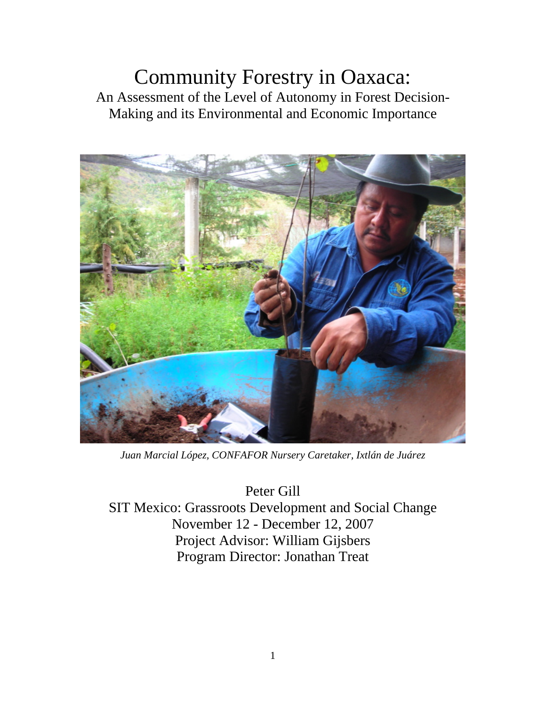# Community Forestry in Oaxaca: An Assessment of the Level of Autonomy in Forest Decision-Making and its Environmental and Economic Importance



*Juan Marcial López, CONFAFOR Nursery Caretaker, Ixtlán de Juárez*

Peter Gill SIT Mexico: Grassroots Development and Social Change November 12 - December 12, 2007 Project Advisor: William Gijsbers Program Director: Jonathan Treat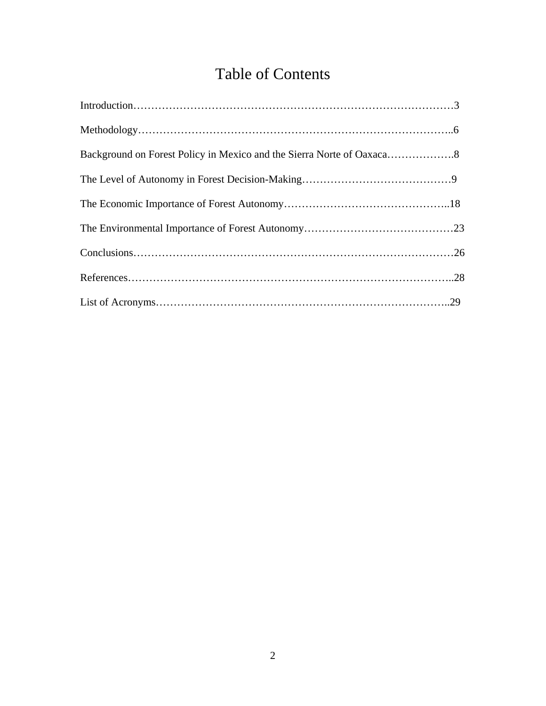# Table of Contents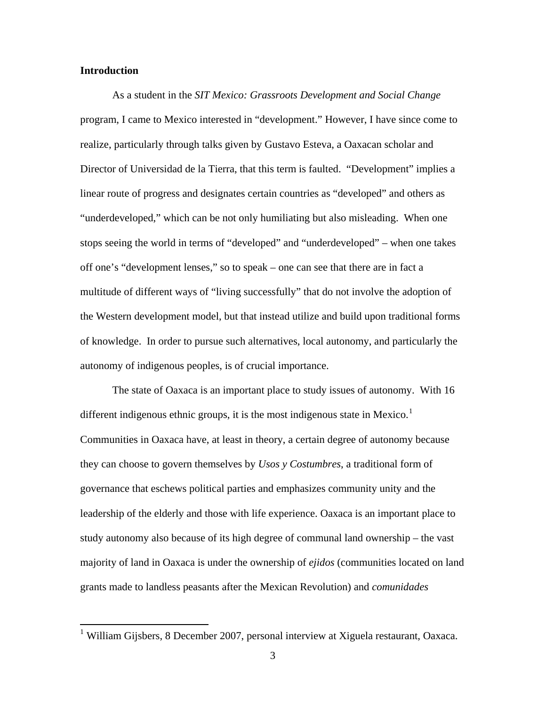#### **Introduction**

 $\overline{a}$ 

As a student in the *SIT Mexico: Grassroots Development and Social Change* program, I came to Mexico interested in "development." However, I have since come to realize, particularly through talks given by Gustavo Esteva, a Oaxacan scholar and Director of Universidad de la Tierra, that this term is faulted. "Development" implies a linear route of progress and designates certain countries as "developed" and others as "underdeveloped," which can be not only humiliating but also misleading. When one stops seeing the world in terms of "developed" and "underdeveloped" – when one takes off one's "development lenses," so to speak – one can see that there are in fact a multitude of different ways of "living successfully" that do not involve the adoption of the Western development model, but that instead utilize and build upon traditional forms of knowledge. In order to pursue such alternatives, local autonomy, and particularly the autonomy of indigenous peoples, is of crucial importance.

The state of Oaxaca is an important place to study issues of autonomy. With 16 different indigenous ethnic groups, it is the most indigenous state in Mexico.<sup>[1](#page-2-0)</sup> Communities in Oaxaca have, at least in theory, a certain degree of autonomy because they can choose to govern themselves by *Usos y Costumbres*, a traditional form of governance that eschews political parties and emphasizes community unity and the leadership of the elderly and those with life experience. Oaxaca is an important place to study autonomy also because of its high degree of communal land ownership – the vast majority of land in Oaxaca is under the ownership of *ejidos* (communities located on land grants made to landless peasants after the Mexican Revolution) and *comunidades* 

<span id="page-2-0"></span><sup>&</sup>lt;sup>1</sup> William Gijsbers, 8 December 2007, personal interview at Xiguela restaurant, Oaxaca.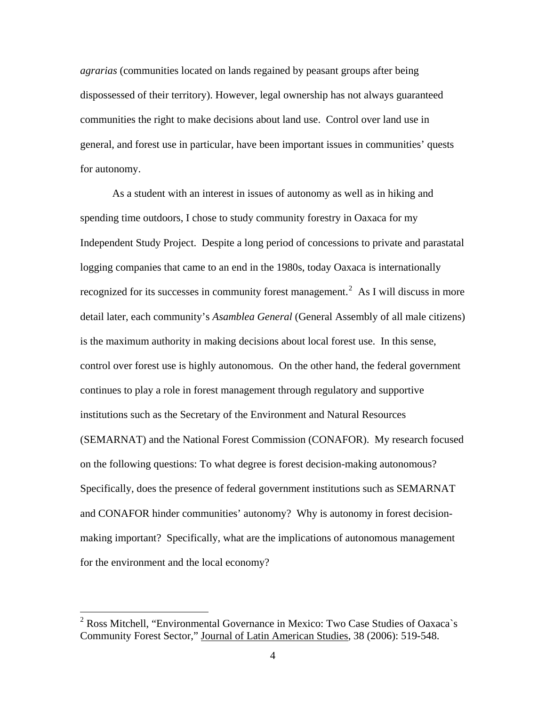*agrarias* (communities located on lands regained by peasant groups after being dispossessed of their territory). However, legal ownership has not always guaranteed communities the right to make decisions about land use. Control over land use in general, and forest use in particular, have been important issues in communities' quests for autonomy.

As a student with an interest in issues of autonomy as well as in hiking and spending time outdoors, I chose to study community forestry in Oaxaca for my Independent Study Project. Despite a long period of concessions to private and parastatal logging companies that came to an end in the 1980s, today Oaxaca is internationally recognized for its successes in community forest management.<sup>[2](#page-3-0)</sup> As I will discuss in more detail later, each community's *Asamblea General* (General Assembly of all male citizens) is the maximum authority in making decisions about local forest use. In this sense, control over forest use is highly autonomous. On the other hand, the federal government continues to play a role in forest management through regulatory and supportive institutions such as the Secretary of the Environment and Natural Resources (SEMARNAT) and the National Forest Commission (CONAFOR). My research focused on the following questions: To what degree is forest decision-making autonomous? Specifically, does the presence of federal government institutions such as SEMARNAT and CONAFOR hinder communities' autonomy? Why is autonomy in forest decisionmaking important? Specifically, what are the implications of autonomous management for the environment and the local economy?

<span id="page-3-0"></span><sup>&</sup>lt;sup>2</sup> Ross Mitchell, "Environmental Governance in Mexico: Two Case Studies of Oaxaca`s Community Forest Sector," Journal of Latin American Studies, 38 (2006): 519-548.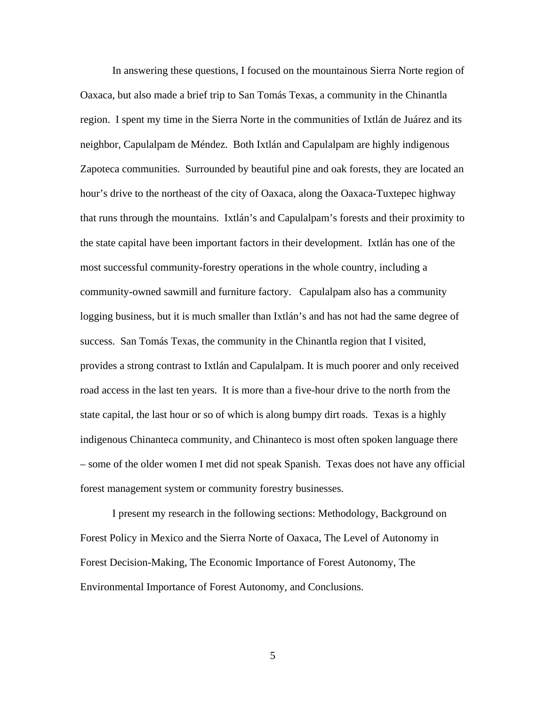In answering these questions, I focused on the mountainous Sierra Norte region of Oaxaca, but also made a brief trip to San Tomás Texas, a community in the Chinantla region. I spent my time in the Sierra Norte in the communities of Ixtlán de Juárez and its neighbor, Capulalpam de Méndez. Both Ixtlán and Capulalpam are highly indigenous Zapoteca communities. Surrounded by beautiful pine and oak forests, they are located an hour's drive to the northeast of the city of Oaxaca, along the Oaxaca-Tuxtepec highway that runs through the mountains. Ixtlán's and Capulalpam's forests and their proximity to the state capital have been important factors in their development. Ixtlán has one of the most successful community-forestry operations in the whole country, including a community-owned sawmill and furniture factory. Capulalpam also has a community logging business, but it is much smaller than Ixtlán's and has not had the same degree of success. San Tomás Texas, the community in the Chinantla region that I visited, provides a strong contrast to Ixtlán and Capulalpam. It is much poorer and only received road access in the last ten years. It is more than a five-hour drive to the north from the state capital, the last hour or so of which is along bumpy dirt roads. Texas is a highly indigenous Chinanteca community, and Chinanteco is most often spoken language there – some of the older women I met did not speak Spanish. Texas does not have any official forest management system or community forestry businesses.

 I present my research in the following sections: Methodology, Background on Forest Policy in Mexico and the Sierra Norte of Oaxaca, The Level of Autonomy in Forest Decision-Making, The Economic Importance of Forest Autonomy, The Environmental Importance of Forest Autonomy, and Conclusions.

5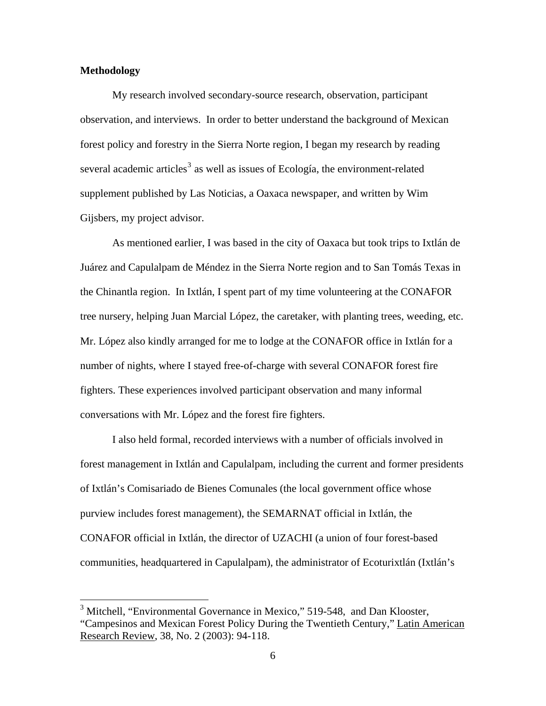## **Methodology**

 My research involved secondary-source research, observation, participant observation, and interviews. In order to better understand the background of Mexican forest policy and forestry in the Sierra Norte region, I began my research by reading several academic articles<sup>[3](#page-5-0)</sup> as well as issues of Ecología, the environment-related supplement published by Las Noticias, a Oaxaca newspaper, and written by Wim Gijsbers, my project advisor.

As mentioned earlier, I was based in the city of Oaxaca but took trips to Ixtlán de Juárez and Capulalpam de Méndez in the Sierra Norte region and to San Tomás Texas in the Chinantla region. In Ixtlán, I spent part of my time volunteering at the CONAFOR tree nursery, helping Juan Marcial López, the caretaker, with planting trees, weeding, etc. Mr. López also kindly arranged for me to lodge at the CONAFOR office in Ixtlán for a number of nights, where I stayed free-of-charge with several CONAFOR forest fire fighters. These experiences involved participant observation and many informal conversations with Mr. López and the forest fire fighters.

I also held formal, recorded interviews with a number of officials involved in forest management in Ixtlán and Capulalpam, including the current and former presidents of Ixtlán's Comisariado de Bienes Comunales (the local government office whose purview includes forest management), the SEMARNAT official in Ixtlán, the CONAFOR official in Ixtlán, the director of UZACHI (a union of four forest-based communities, headquartered in Capulalpam), the administrator of Ecoturixtlán (Ixtlán's

<span id="page-5-0"></span><sup>&</sup>lt;sup>3</sup> Mitchell, "Environmental Governance in Mexico," 519-548, and Dan Klooster, "Campesinos and Mexican Forest Policy During the Twentieth Century," Latin American Research Review, 38, No. 2 (2003): 94-118.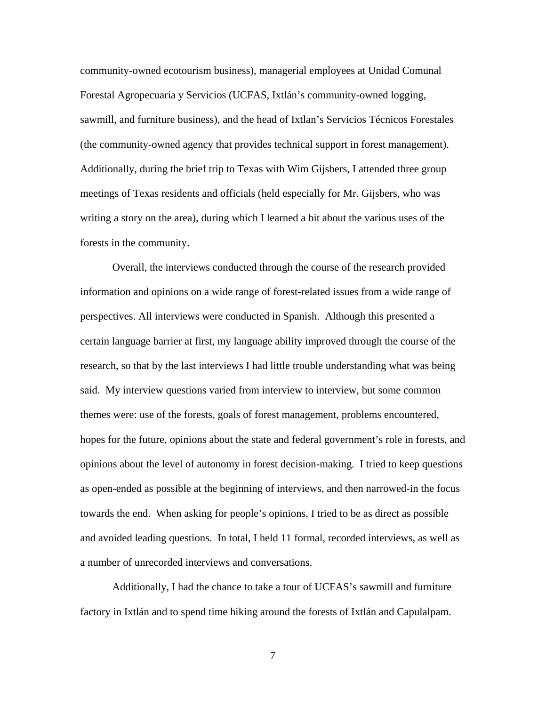community-owned ecotourism business), managerial employees at Unidad Comunal Forestal Agropecuaria y Servicios (UCFAS, Ixtlán's community-owned logging, sawmill, and furniture business), and the head of Ixtlan's Servicios Técnicos Forestales (the community-owned agency that provides technical support in forest management). Additionally, during the brief trip to Texas with Wim Gijsbers, I attended three group meetings of Texas residents and officials (held especially for Mr. Gijsbers, who was writing a story on the area), during which I learned a bit about the various uses of the forests in the community.

Overall, the interviews conducted through the course of the research provided information and opinions on a wide range of forest-related issues from a wide range of perspectives. All interviews were conducted in Spanish. Although this presented a certain language barrier at first, my language ability improved through the course of the research, so that by the last interviews I had little trouble understanding what was being said. My interview questions varied from interview to interview, but some common themes were: use of the forests, goals of forest management, problems encountered, hopes for the future, opinions about the state and federal government's role in forests, and opinions about the level of autonomy in forest decision-making. I tried to keep questions as open-ended as possible at the beginning of interviews, and then narrowed-in the focus towards the end. When asking for people's opinions, I tried to be as direct as possible and avoided leading questions. In total, I held 11 formal, recorded interviews, as well as a number of unrecorded interviews and conversations.

Additionally, I had the chance to take a tour of UCFAS's sawmill and furniture factory in Ixtlán and to spend time hiking around the forests of Ixtlán and Capulalpam.

7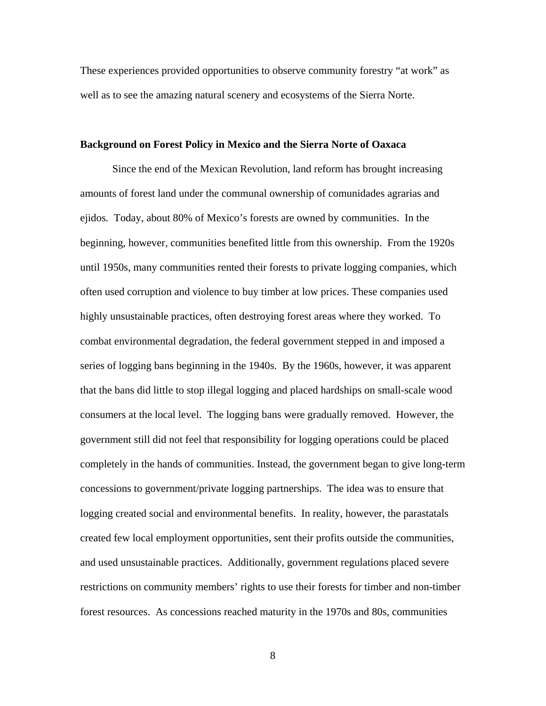These experiences provided opportunities to observe community forestry "at work" as well as to see the amazing natural scenery and ecosystems of the Sierra Norte.

#### **Background on Forest Policy in Mexico and the Sierra Norte of Oaxaca**

Since the end of the Mexican Revolution, land reform has brought increasing amounts of forest land under the communal ownership of comunidades agrarias and ejidos*.* Today, about 80% of Mexico's forests are owned by communities. In the beginning, however, communities benefited little from this ownership. From the 1920s until 1950s, many communities rented their forests to private logging companies, which often used corruption and violence to buy timber at low prices. These companies used highly unsustainable practices, often destroying forest areas where they worked. To combat environmental degradation, the federal government stepped in and imposed a series of logging bans beginning in the 1940s. By the 1960s, however, it was apparent that the bans did little to stop illegal logging and placed hardships on small-scale wood consumers at the local level. The logging bans were gradually removed. However, the government still did not feel that responsibility for logging operations could be placed completely in the hands of communities. Instead, the government began to give long-term concessions to government/private logging partnerships. The idea was to ensure that logging created social and environmental benefits. In reality, however, the parastatals created few local employment opportunities, sent their profits outside the communities, and used unsustainable practices. Additionally, government regulations placed severe restrictions on community members' rights to use their forests for timber and non-timber forest resources. As concessions reached maturity in the 1970s and 80s, communities

8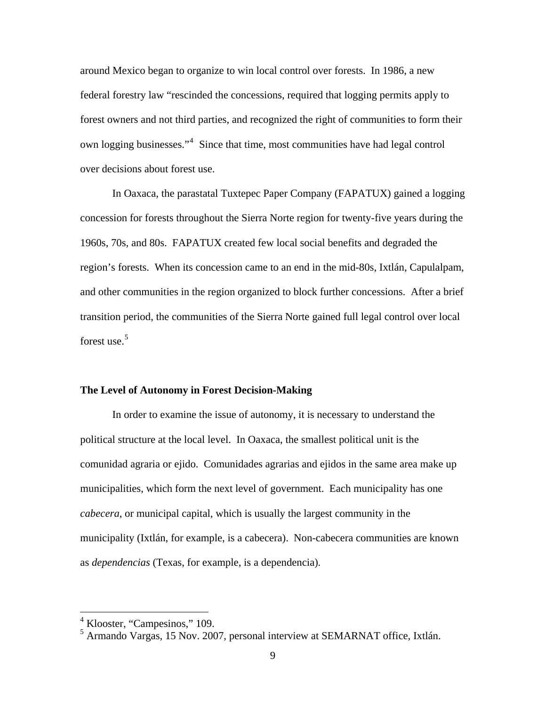around Mexico began to organize to win local control over forests. In 1986, a new federal forestry law "rescinded the concessions, required that logging permits apply to forest owners and not third parties, and recognized the right of communities to form their own logging businesses."<sup>[4](#page-8-0)</sup> Since that time, most communities have had legal control over decisions about forest use.

In Oaxaca, the parastatal Tuxtepec Paper Company (FAPATUX) gained a logging concession for forests throughout the Sierra Norte region for twenty-five years during the 1960s, 70s, and 80s. FAPATUX created few local social benefits and degraded the region's forests. When its concession came to an end in the mid-80s, Ixtlán, Capulalpam, and other communities in the region organized to block further concessions. After a brief transition period, the communities of the Sierra Norte gained full legal control over local forest use. $5$ 

#### **The Level of Autonomy in Forest Decision-Making**

In order to examine the issue of autonomy, it is necessary to understand the political structure at the local level. In Oaxaca, the smallest political unit is the comunidad agraria or ejido. Comunidades agrarias and ejidos in the same area make up municipalities, which form the next level of government. Each municipality has one *cabecera*, or municipal capital, which is usually the largest community in the municipality (Ixtlán, for example, is a cabecera). Non-cabecera communities are known as *dependencias* (Texas, for example, is a dependencia)*.* 

<span id="page-8-0"></span><sup>4</sup> Klooster, "Campesinos," 109.

<span id="page-8-1"></span><sup>5</sup> Armando Vargas, 15 Nov. 2007, personal interview at SEMARNAT office, Ixtlán.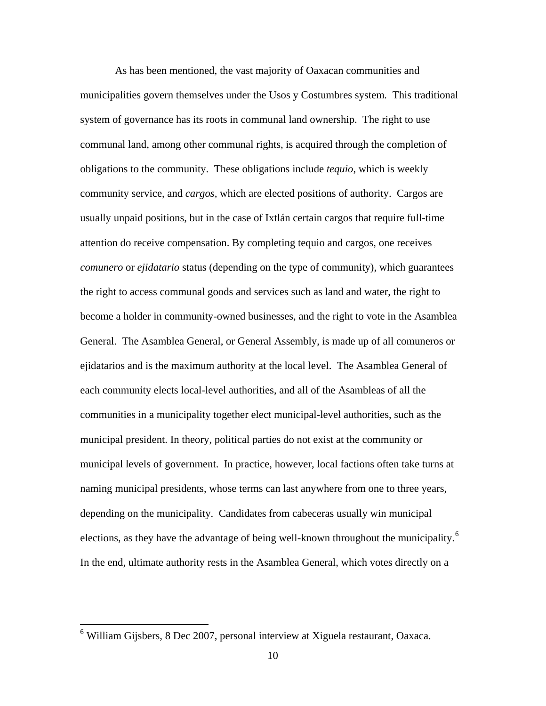As has been mentioned, the vast majority of Oaxacan communities and municipalities govern themselves under the Usos y Costumbres system*.* This traditional system of governance has its roots in communal land ownership. The right to use communal land, among other communal rights, is acquired through the completion of obligations to the community. These obligations include *tequio*, which is weekly community service, and *cargos,* which are elected positions of authority. Cargos are usually unpaid positions, but in the case of Ixtlán certain cargos that require full-time attention do receive compensation. By completing tequio and cargos, one receives *comunero* or *ejidatario* status (depending on the type of community), which guarantees the right to access communal goods and services such as land and water, the right to become a holder in community-owned businesses, and the right to vote in the Asamblea General. The Asamblea General, or General Assembly, is made up of all comuneros or ejidatarios and is the maximum authority at the local level. The Asamblea General of each community elects local-level authorities, and all of the Asambleas of all the communities in a municipality together elect municipal-level authorities, such as the municipal president. In theory, political parties do not exist at the community or municipal levels of government. In practice, however, local factions often take turns at naming municipal presidents, whose terms can last anywhere from one to three years, depending on the municipality. Candidates from cabeceras usually win municipal elections, as they have the advantage of being well-known throughout the municipality.<sup>[6](#page-9-0)</sup> In the end, ultimate authority rests in the Asamblea General, which votes directly on a

<span id="page-9-0"></span> 6 William Gijsbers, 8 Dec 2007, personal interview at Xiguela restaurant, Oaxaca.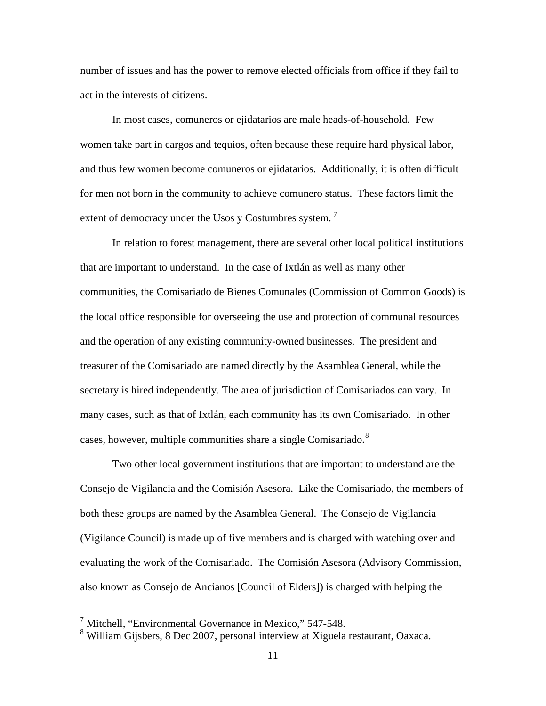number of issues and has the power to remove elected officials from office if they fail to act in the interests of citizens.

In most cases, comuneros or ejidatarios are male heads-of-household. Few women take part in cargos and tequios, often because these require hard physical labor, and thus few women become comuneros or ejidatarios. Additionally, it is often difficult for men not born in the community to achieve comunero status. These factors limit the extent of democracy under the Usos y Costumbres system.<sup>[7](#page-10-0)</sup>

In relation to forest management, there are several other local political institutions that are important to understand. In the case of Ixtlán as well as many other communities, the Comisariado de Bienes Comunales (Commission of Common Goods) is the local office responsible for overseeing the use and protection of communal resources and the operation of any existing community-owned businesses. The president and treasurer of the Comisariado are named directly by the Asamblea General, while the secretary is hired independently. The area of jurisdiction of Comisariados can vary. In many cases, such as that of Ixtlán, each community has its own Comisariado. In other cases, however, multiple communities share a single Comisariado. $8$ 

Two other local government institutions that are important to understand are the Consejo de Vigilancia and the Comisión Asesora. Like the Comisariado, the members of both these groups are named by the Asamblea General. The Consejo de Vigilancia (Vigilance Council) is made up of five members and is charged with watching over and evaluating the work of the Comisariado. The Comisión Asesora (Advisory Commission, also known as Consejo de Ancianos [Council of Elders]) is charged with helping the

<span id="page-10-0"></span><sup>&</sup>lt;sup>7</sup> Mitchell, "Environmental Governance in Mexico," 547-548.

<span id="page-10-1"></span><sup>&</sup>lt;sup>8</sup> William Gijsbers, 8 Dec 2007, personal interview at Xiguela restaurant, Oaxaca.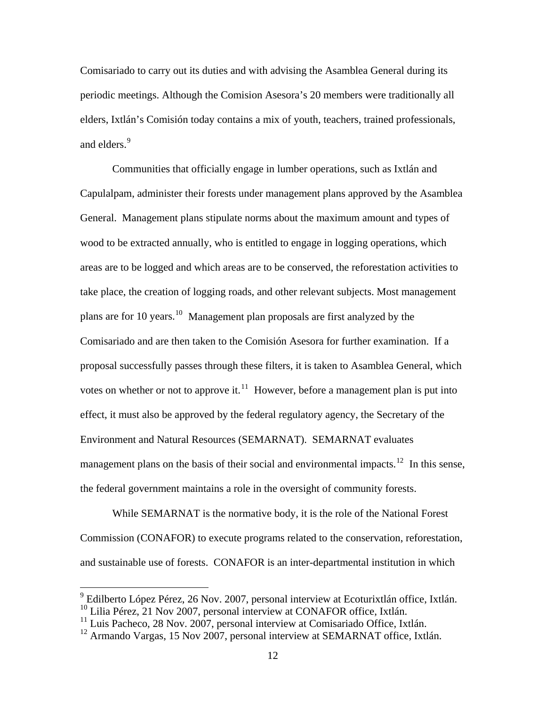Comisariado to carry out its duties and with advising the Asamblea General during its periodic meetings. Although the Comision Asesora's 20 members were traditionally all elders, Ixtlán's Comisión today contains a mix of youth, teachers, trained professionals, and elders.<sup>[9](#page-11-0)</sup>

Communities that officially engage in lumber operations, such as Ixtlán and Capulalpam, administer their forests under management plans approved by the Asamblea General. Management plans stipulate norms about the maximum amount and types of wood to be extracted annually, who is entitled to engage in logging operations, which areas are to be logged and which areas are to be conserved, the reforestation activities to take place, the creation of logging roads, and other relevant subjects. Most management plans are for 10 years.[10](#page-11-1) Management plan proposals are first analyzed by the Comisariado and are then taken to the Comisión Asesora for further examination. If a proposal successfully passes through these filters, it is taken to Asamblea General, which votes on whether or not to approve it.<sup>[11](#page-11-2)</sup> However, before a management plan is put into effect, it must also be approved by the federal regulatory agency, the Secretary of the Environment and Natural Resources (SEMARNAT). SEMARNAT evaluates management plans on the basis of their social and environmental impacts.<sup>[12](#page-11-3)</sup> In this sense, the federal government maintains a role in the oversight of community forests.

While SEMARNAT is the normative body, it is the role of the National Forest Commission (CONAFOR) to execute programs related to the conservation, reforestation, and sustainable use of forests. CONAFOR is an inter-departmental institution in which

<span id="page-11-0"></span><sup>&</sup>lt;sup>9</sup> Edilberto López Pérez, 26 Nov. 2007, personal interview at Ecoturixtlán office, Ixtlán. <sup>10</sup> Lilia Pérez, 21 Nov 2007, personal interview at CONAFOR office, Ixtlán.

<span id="page-11-2"></span><span id="page-11-1"></span> $11$  Luis Pacheco, 28 Nov. 2007, personal interview at Comisariado Office, Ixtlán.

<span id="page-11-3"></span> $12$  Armando Vargas, 15 Nov 2007, personal interview at SEMARNAT office, Ixtlán.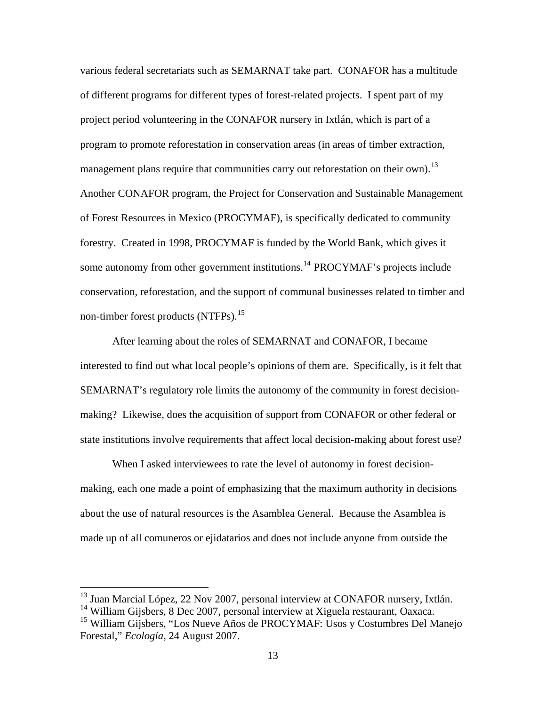various federal secretariats such as SEMARNAT take part. CONAFOR has a multitude of different programs for different types of forest-related projects. I spent part of my project period volunteering in the CONAFOR nursery in Ixtlán, which is part of a program to promote reforestation in conservation areas (in areas of timber extraction, management plans require that communities carry out reforestation on their own).<sup>[13](#page-12-0)</sup> Another CONAFOR program, the Project for Conservation and Sustainable Management of Forest Resources in Mexico (PROCYMAF), is specifically dedicated to community forestry. Created in 1998, PROCYMAF is funded by the World Bank, which gives it some autonomy from other government institutions.<sup>[14](#page-12-1)</sup> PROCYMAF's projects include conservation, reforestation, and the support of communal businesses related to timber and non-timber forest products (NTFPs).<sup>15</sup>

 After learning about the roles of SEMARNAT and CONAFOR, I became interested to find out what local people's opinions of them are. Specifically, is it felt that SEMARNAT's regulatory role limits the autonomy of the community in forest decisionmaking? Likewise, does the acquisition of support from CONAFOR or other federal or state institutions involve requirements that affect local decision-making about forest use?

 When I asked interviewees to rate the level of autonomy in forest decisionmaking, each one made a point of emphasizing that the maximum authority in decisions about the use of natural resources is the Asamblea General. Because the Asamblea is made up of all comuneros or ejidatarios and does not include anyone from outside the

<span id="page-12-0"></span><sup>&</sup>lt;sup>13</sup> Juan Marcial López, 22 Nov 2007, personal interview at CONAFOR nursery, Ixtlán.

<span id="page-12-1"></span> $14$  William Gijsbers, 8 Dec 2007, personal interview at Xiguela restaurant, Oaxaca.

<span id="page-12-2"></span><sup>&</sup>lt;sup>15</sup> William Gijsbers, "Los Nueve Años de PROCYMAF: Usos y Costumbres Del Manejo Forestal," *Ecología*, 24 August 2007.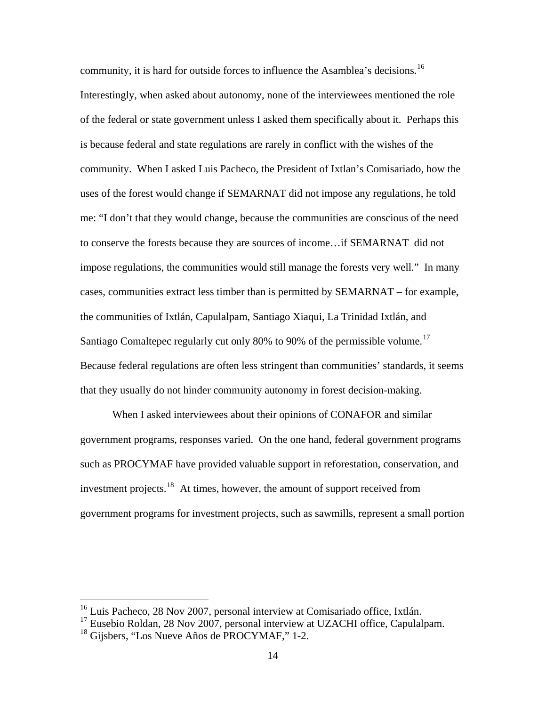community, it is hard for outside forces to influence the Asamblea's decisions.<sup>[16](#page-13-0)</sup> Interestingly, when asked about autonomy, none of the interviewees mentioned the role of the federal or state government unless I asked them specifically about it. Perhaps this is because federal and state regulations are rarely in conflict with the wishes of the community. When I asked Luis Pacheco, the President of Ixtlan's Comisariado, how the uses of the forest would change if SEMARNAT did not impose any regulations, he told me: "I don't that they would change, because the communities are conscious of the need to conserve the forests because they are sources of income…if SEMARNAT did not impose regulations, the communities would still manage the forests very well." In many cases, communities extract less timber than is permitted by SEMARNAT – for example, the communities of Ixtlán, Capulalpam, Santiago Xiaqui, La Trinidad Ixtlán, and Santiago Comaltepec regularly cut only 80% to 90% of the permissible volume.<sup>[17](#page-13-1)</sup> Because federal regulations are often less stringent than communities' standards, it seems that they usually do not hinder community autonomy in forest decision-making.

 When I asked interviewees about their opinions of CONAFOR and similar government programs, responses varied. On the one hand, federal government programs such as PROCYMAF have provided valuable support in reforestation, conservation, and investment projects.<sup>[18](#page-13-2)</sup> At times, however, the amount of support received from government programs for investment projects, such as sawmills, represent a small portion

<span id="page-13-0"></span><sup>&</sup>lt;sup>16</sup> Luis Pacheco, 28 Nov 2007, personal interview at Comisariado office, Ixtlán.

<span id="page-13-1"></span> $17$  Eusebio Roldan, 28 Nov 2007, personal interview at UZACHI office, Capulalpam.

<span id="page-13-2"></span><sup>18</sup> Gijsbers, "Los Nueve Años de PROCYMAF," 1-2.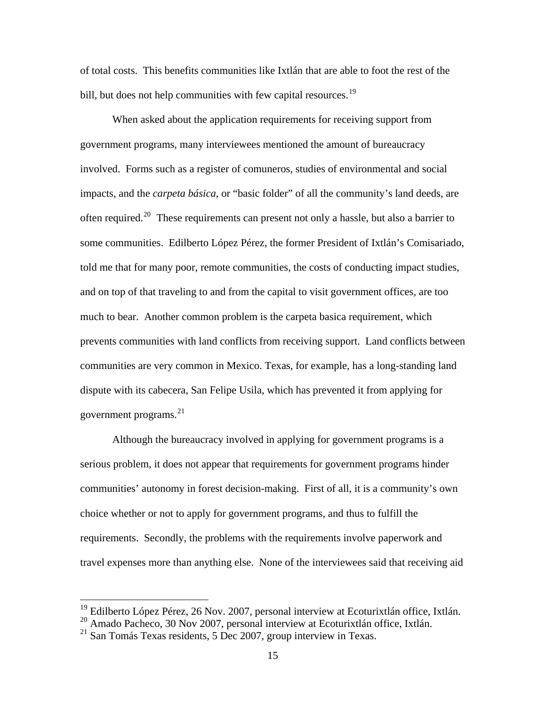of total costs. This benefits communities like Ixtlán that are able to foot the rest of the bill, but does not help communities with few capital resources.<sup>[19](#page-14-0)</sup>

When asked about the application requirements for receiving support from government programs, many interviewees mentioned the amount of bureaucracy involved. Forms such as a register of comuneros, studies of environmental and social impacts, and the *carpeta básica*, or "basic folder" of all the community's land deeds, are often required.<sup>[20](#page-14-1)</sup> These requirements can present not only a hassle, but also a barrier to some communities. Edilberto López Pérez, the former President of Ixtlán's Comisariado, told me that for many poor, remote communities, the costs of conducting impact studies, and on top of that traveling to and from the capital to visit government offices, are too much to bear. Another common problem is the carpeta basica requirement, which prevents communities with land conflicts from receiving support. Land conflicts between communities are very common in Mexico. Texas, for example, has a long-standing land dispute with its cabecera, San Felipe Usila, which has prevented it from applying for government programs.[21](#page-14-2)

Although the bureaucracy involved in applying for government programs is a serious problem, it does not appear that requirements for government programs hinder communities' autonomy in forest decision-making. First of all, it is a community's own choice whether or not to apply for government programs, and thus to fulfill the requirements. Secondly, the problems with the requirements involve paperwork and travel expenses more than anything else. None of the interviewees said that receiving aid

<sup>&</sup>lt;sup>19</sup> Edilberto López Pérez, 26 Nov. 2007, personal interview at Ecoturixtlán office, Ixtlán.

<span id="page-14-1"></span><span id="page-14-0"></span><sup>20</sup> Amado Pacheco, 30 Nov 2007, personal interview at Ecoturixtlán office, Ixtlán.

<span id="page-14-2"></span> $21$  San Tomás Texas residents, 5 Dec 2007, group interview in Texas.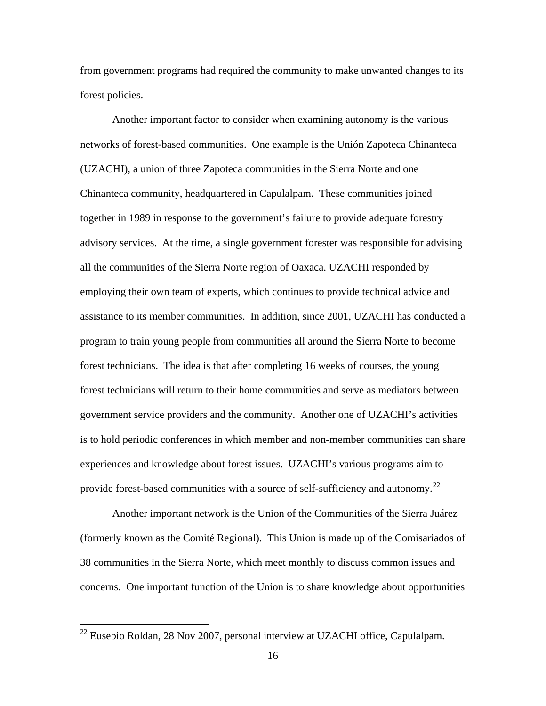from government programs had required the community to make unwanted changes to its forest policies.

Another important factor to consider when examining autonomy is the various networks of forest-based communities. One example is the Unión Zapoteca Chinanteca (UZACHI), a union of three Zapoteca communities in the Sierra Norte and one Chinanteca community, headquartered in Capulalpam. These communities joined together in 1989 in response to the government's failure to provide adequate forestry advisory services. At the time, a single government forester was responsible for advising all the communities of the Sierra Norte region of Oaxaca. UZACHI responded by employing their own team of experts, which continues to provide technical advice and assistance to its member communities. In addition, since 2001, UZACHI has conducted a program to train young people from communities all around the Sierra Norte to become forest technicians. The idea is that after completing 16 weeks of courses, the young forest technicians will return to their home communities and serve as mediators between government service providers and the community. Another one of UZACHI's activities is to hold periodic conferences in which member and non-member communities can share experiences and knowledge about forest issues. UZACHI's various programs aim to provide forest-based communities with a source of self-sufficiency and autonomy.<sup>[22](#page-15-0)</sup>

Another important network is the Union of the Communities of the Sierra Juárez (formerly known as the Comité Regional). This Union is made up of the Comisariados of 38 communities in the Sierra Norte, which meet monthly to discuss common issues and concerns. One important function of the Union is to share knowledge about opportunities

<span id="page-15-0"></span> $^{22}$  Eusebio Roldan, 28 Nov 2007, personal interview at UZACHI office, Capulalpam.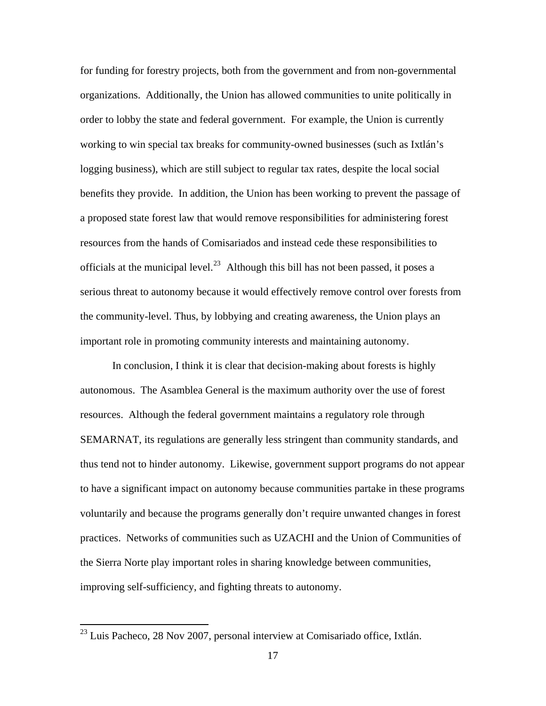for funding for forestry projects, both from the government and from non-governmental organizations. Additionally, the Union has allowed communities to unite politically in order to lobby the state and federal government. For example, the Union is currently working to win special tax breaks for community-owned businesses (such as Ixtlán's logging business), which are still subject to regular tax rates, despite the local social benefits they provide. In addition, the Union has been working to prevent the passage of a proposed state forest law that would remove responsibilities for administering forest resources from the hands of Comisariados and instead cede these responsibilities to officials at the municipal level.<sup>23</sup> Although this bill has not been passed, it poses a serious threat to autonomy because it would effectively remove control over forests from the community-level. Thus, by lobbying and creating awareness, the Union plays an important role in promoting community interests and maintaining autonomy.

 In conclusion, I think it is clear that decision-making about forests is highly autonomous. The Asamblea General is the maximum authority over the use of forest resources. Although the federal government maintains a regulatory role through SEMARNAT, its regulations are generally less stringent than community standards, and thus tend not to hinder autonomy. Likewise, government support programs do not appear to have a significant impact on autonomy because communities partake in these programs voluntarily and because the programs generally don't require unwanted changes in forest practices. Networks of communities such as UZACHI and the Union of Communities of the Sierra Norte play important roles in sharing knowledge between communities, improving self-sufficiency, and fighting threats to autonomy.

<span id="page-16-0"></span> $^{23}$  Luis Pacheco, 28 Nov 2007, personal interview at Comisariado office, Ixtlán.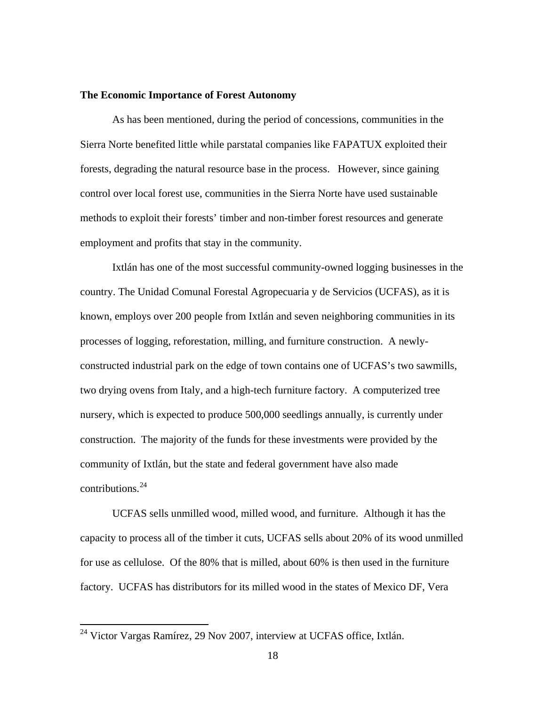#### **The Economic Importance of Forest Autonomy**

 As has been mentioned, during the period of concessions, communities in the Sierra Norte benefited little while parstatal companies like FAPATUX exploited their forests, degrading the natural resource base in the process. However, since gaining control over local forest use, communities in the Sierra Norte have used sustainable methods to exploit their forests' timber and non-timber forest resources and generate employment and profits that stay in the community.

 Ixtlán has one of the most successful community-owned logging businesses in the country. The Unidad Comunal Forestal Agropecuaria y de Servicios (UCFAS), as it is known, employs over 200 people from Ixtlán and seven neighboring communities in its processes of logging, reforestation, milling, and furniture construction. A newlyconstructed industrial park on the edge of town contains one of UCFAS's two sawmills, two drying ovens from Italy, and a high-tech furniture factory. A computerized tree nursery, which is expected to produce 500,000 seedlings annually, is currently under construction. The majority of the funds for these investments were provided by the community of Ixtlán, but the state and federal government have also made contributions.  $24$ 

 UCFAS sells unmilled wood, milled wood, and furniture. Although it has the capacity to process all of the timber it cuts, UCFAS sells about 20% of its wood unmilled for use as cellulose. Of the 80% that is milled, about 60% is then used in the furniture factory. UCFAS has distributors for its milled wood in the states of Mexico DF, Vera

<span id="page-17-0"></span> $^{24}$  Victor Vargas Ramírez, 29 Nov 2007, interview at UCFAS office, Ixtlán.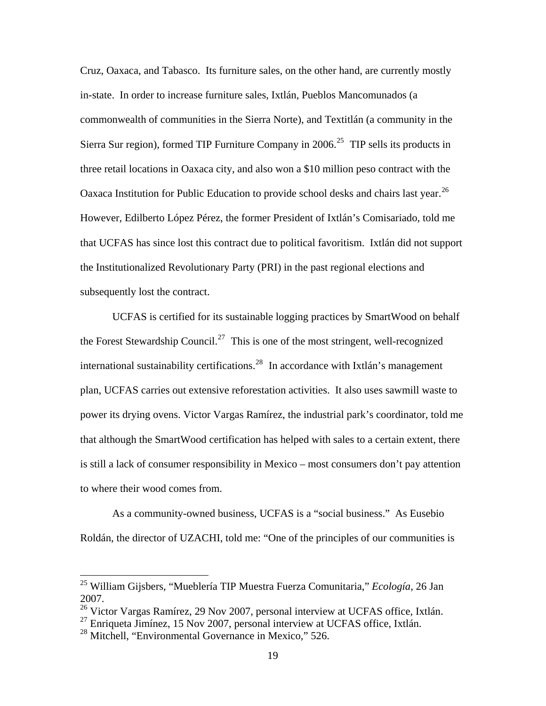Cruz, Oaxaca, and Tabasco. Its furniture sales, on the other hand, are currently mostly in-state. In order to increase furniture sales, Ixtlán, Pueblos Mancomunados (a commonwealth of communities in the Sierra Norte), and Textitlán (a community in the Sierra Sur region), formed TIP Furniture Company in  $2006$ <sup>[25](#page-18-0)</sup> TIP sells its products in three retail locations in Oaxaca city, and also won a \$10 million peso contract with the Oaxaca Institution for Public Education to provide school desks and chairs last year.<sup>[26](#page-18-1)</sup> However, Edilberto López Pérez, the former President of Ixtlán's Comisariado, told me that UCFAS has since lost this contract due to political favoritism. Ixtlán did not support the Institutionalized Revolutionary Party (PRI) in the past regional elections and subsequently lost the contract.

 UCFAS is certified for its sustainable logging practices by SmartWood on behalf the Forest Stewardship Council.<sup>[27](#page-18-2)</sup> This is one of the most stringent, well-recognized international sustainability certifications.<sup>[28](#page-18-3)</sup> In accordance with Ixtlán's management plan, UCFAS carries out extensive reforestation activities. It also uses sawmill waste to power its drying ovens. Victor Vargas Ramírez, the industrial park's coordinator, told me that although the SmartWood certification has helped with sales to a certain extent, there is still a lack of consumer responsibility in Mexico – most consumers don't pay attention to where their wood comes from.

As a community-owned business, UCFAS is a "social business." As Eusebio Roldán, the director of UZACHI, told me: "One of the principles of our communities is

<span id="page-18-0"></span><sup>25</sup> William Gijsbers, "Mueblería TIP Muestra Fuerza Comunitaria," *Ecología*, 26 Jan 2007.

<span id="page-18-1"></span><sup>&</sup>lt;sup>26</sup> Victor Vargas Ramírez, 29 Nov 2007, personal interview at UCFAS office, Ixtlán.

<span id="page-18-2"></span> $^{27}$  Enriqueta Jimínez, 15 Nov 2007, personal interview at UCFAS office, Ixtlán.

<span id="page-18-3"></span><sup>&</sup>lt;sup>28</sup> Mitchell, "Environmental Governance in Mexico," 526.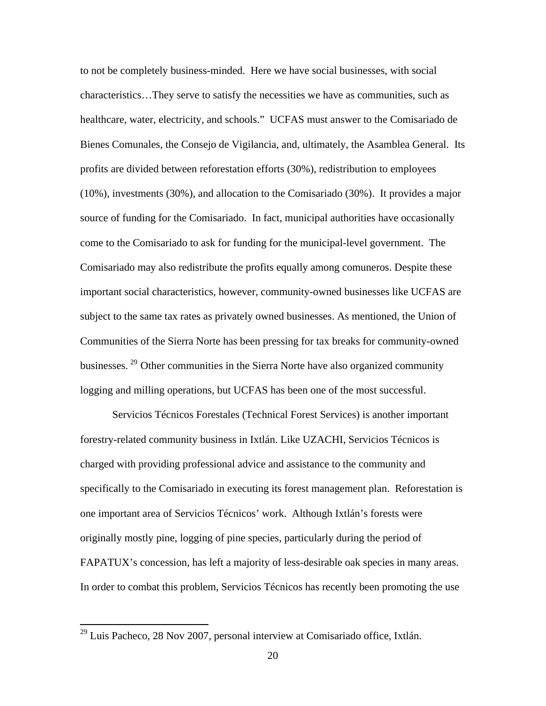to not be completely business-minded. Here we have social businesses, with social characteristics…They serve to satisfy the necessities we have as communities, such as healthcare, water, electricity, and schools." UCFAS must answer to the Comisariado de Bienes Comunales, the Consejo de Vigilancia, and, ultimately, the Asamblea General. Its profits are divided between reforestation efforts (30%), redistribution to employees (10%), investments (30%), and allocation to the Comisariado (30%). It provides a major source of funding for the Comisariado. In fact, municipal authorities have occasionally come to the Comisariado to ask for funding for the municipal-level government. The Comisariado may also redistribute the profits equally among comuneros. Despite these important social characteristics, however, community-owned businesses like UCFAS are subject to the same tax rates as privately owned businesses. As mentioned, the Union of Communities of the Sierra Norte has been pressing for tax breaks for community-owned businesses. [29](#page-19-0) Other communities in the Sierra Norte have also organized community logging and milling operations, but UCFAS has been one of the most successful.

Servicios Técnicos Forestales (Technical Forest Services) is another important forestry-related community business in Ixtlán. Like UZACHI, Servicios Técnicos is charged with providing professional advice and assistance to the community and specifically to the Comisariado in executing its forest management plan. Reforestation is one important area of Servicios Técnicos' work. Although Ixtlán's forests were originally mostly pine, logging of pine species, particularly during the period of FAPATUX's concession, has left a majority of less-desirable oak species in many areas. In order to combat this problem, Servicios Técnicos has recently been promoting the use

<span id="page-19-0"></span> $^{29}$  Luis Pacheco, 28 Nov 2007, personal interview at Comisariado office, Ixtlán.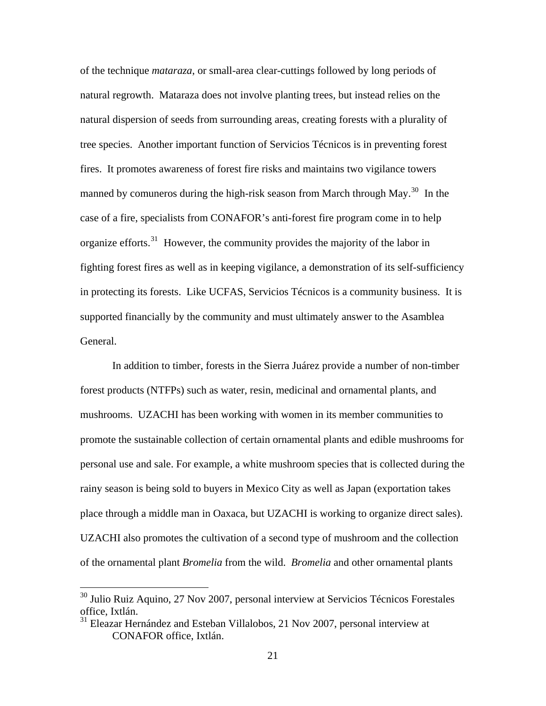of the technique *mataraza*, or small-area clear-cuttings followed by long periods of natural regrowth. Mataraza does not involve planting trees, but instead relies on the natural dispersion of seeds from surrounding areas, creating forests with a plurality of tree species. Another important function of Servicios Técnicos is in preventing forest fires. It promotes awareness of forest fire risks and maintains two vigilance towers manned by comuneros during the high-risk season from March through May.<sup>[30](#page-20-0)</sup> In the case of a fire, specialists from CONAFOR's anti-forest fire program come in to help organize efforts.<sup>[31](#page-20-1)</sup> However, the community provides the majority of the labor in fighting forest fires as well as in keeping vigilance, a demonstration of its self-sufficiency in protecting its forests. Like UCFAS, Servicios Técnicos is a community business. It is supported financially by the community and must ultimately answer to the Asamblea General.

In addition to timber, forests in the Sierra Juárez provide a number of non-timber forest products (NTFPs) such as water, resin, medicinal and ornamental plants, and mushrooms. UZACHI has been working with women in its member communities to promote the sustainable collection of certain ornamental plants and edible mushrooms for personal use and sale. For example, a white mushroom species that is collected during the rainy season is being sold to buyers in Mexico City as well as Japan (exportation takes place through a middle man in Oaxaca, but UZACHI is working to organize direct sales). UZACHI also promotes the cultivation of a second type of mushroom and the collection of the ornamental plant *Bromelia* from the wild. *Bromelia* and other ornamental plants

<span id="page-20-0"></span><sup>&</sup>lt;sup>30</sup> Julio Ruiz Aquino, 27 Nov 2007, personal interview at Servicios Técnicos Forestales office, Ixtlán.

<span id="page-20-1"></span><sup>&</sup>lt;sup>31</sup> Eleazar Hernández and Esteban Villalobos, 21 Nov 2007, personal interview at CONAFOR office, Ixtlán.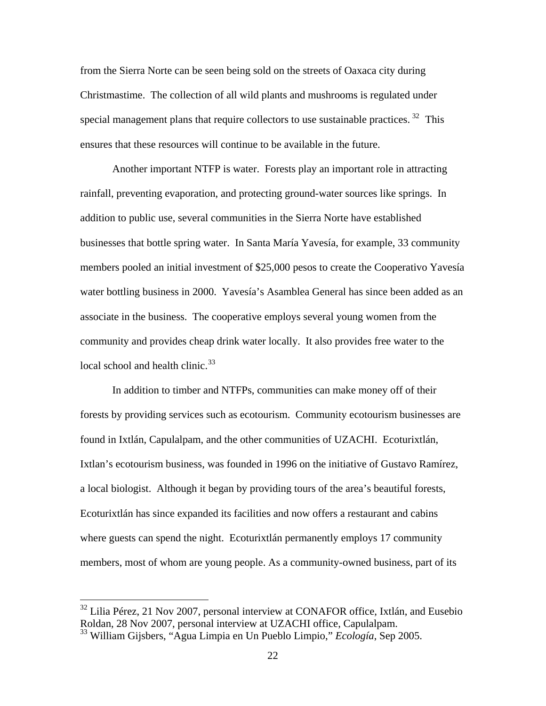from the Sierra Norte can be seen being sold on the streets of Oaxaca city during Christmastime. The collection of all wild plants and mushrooms is regulated under special management plans that require collectors to use sustainable practices.  $32$  This ensures that these resources will continue to be available in the future.

Another important NTFP is water. Forests play an important role in attracting rainfall, preventing evaporation, and protecting ground-water sources like springs. In addition to public use, several communities in the Sierra Norte have established businesses that bottle spring water. In Santa María Yavesía, for example, 33 community members pooled an initial investment of \$25,000 pesos to create the Cooperativo Yavesía water bottling business in 2000. Yavesía's Asamblea General has since been added as an associate in the business. The cooperative employs several young women from the community and provides cheap drink water locally. It also provides free water to the local school and health clinic. $33$ 

In addition to timber and NTFPs, communities can make money off of their forests by providing services such as ecotourism. Community ecotourism businesses are found in Ixtlán, Capulalpam, and the other communities of UZACHI. Ecoturixtlán, Ixtlan's ecotourism business, was founded in 1996 on the initiative of Gustavo Ramírez, a local biologist. Although it began by providing tours of the area's beautiful forests, Ecoturixtlán has since expanded its facilities and now offers a restaurant and cabins where guests can spend the night. Ecoturixtlán permanently employs 17 community members, most of whom are young people. As a community-owned business, part of its

<span id="page-21-0"></span> $32$  Lilia Pérez, 21 Nov 2007, personal interview at CONAFOR office, Ixtlán, and Eusebio Roldan, 28 Nov 2007, personal interview at UZACHI office, Capulalpam.

<span id="page-21-1"></span><sup>33</sup> William Gijsbers, "Agua Limpia en Un Pueblo Limpio," *Ecología*, Sep 2005.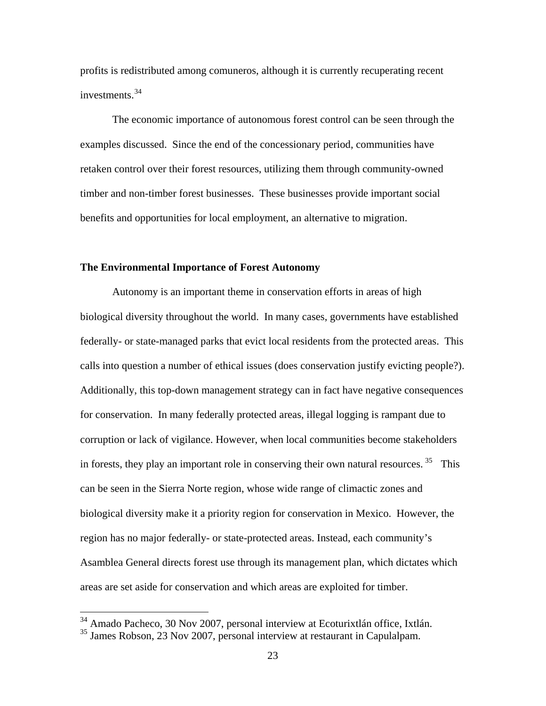profits is redistributed among comuneros, although it is currently recuperating recent investments.[34](#page-22-0)

The economic importance of autonomous forest control can be seen through the examples discussed. Since the end of the concessionary period, communities have retaken control over their forest resources, utilizing them through community-owned timber and non-timber forest businesses. These businesses provide important social benefits and opportunities for local employment, an alternative to migration.

#### **The Environmental Importance of Forest Autonomy**

 Autonomy is an important theme in conservation efforts in areas of high biological diversity throughout the world. In many cases, governments have established federally- or state-managed parks that evict local residents from the protected areas. This calls into question a number of ethical issues (does conservation justify evicting people?). Additionally, this top-down management strategy can in fact have negative consequences for conservation. In many federally protected areas, illegal logging is rampant due to corruption or lack of vigilance. However, when local communities become stakeholders in forests, they play an important role in conserving their own natural resources.<sup>[35](#page-22-1)</sup> This can be seen in the Sierra Norte region, whose wide range of climactic zones and biological diversity make it a priority region for conservation in Mexico. However, the region has no major federally- or state-protected areas. Instead, each community's Asamblea General directs forest use through its management plan, which dictates which areas are set aside for conservation and which areas are exploited for timber.

<sup>&</sup>lt;sup>34</sup> Amado Pacheco, 30 Nov 2007, personal interview at Ecoturixtlán office, Ixtlán.

<span id="page-22-1"></span><span id="page-22-0"></span><sup>&</sup>lt;sup>35</sup> James Robson, 23 Nov 2007, personal interview at restaurant in Capulalpam.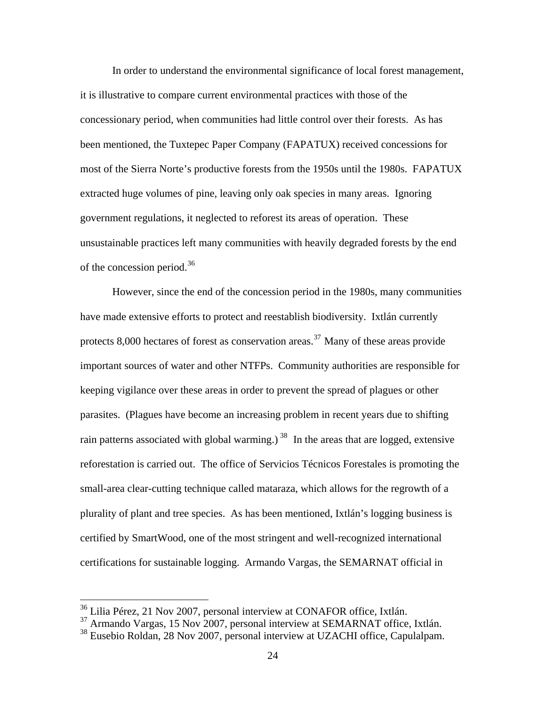In order to understand the environmental significance of local forest management, it is illustrative to compare current environmental practices with those of the concessionary period, when communities had little control over their forests. As has been mentioned, the Tuxtepec Paper Company (FAPATUX) received concessions for most of the Sierra Norte's productive forests from the 1950s until the 1980s. FAPATUX extracted huge volumes of pine, leaving only oak species in many areas. Ignoring government regulations, it neglected to reforest its areas of operation. These unsustainable practices left many communities with heavily degraded forests by the end of the concession period.[36](#page-23-0)

 However, since the end of the concession period in the 1980s, many communities have made extensive efforts to protect and reestablish biodiversity. Ixtlán currently protects  $8,000$  hectares of forest as conservation areas.<sup>[37](#page-23-1)</sup> Many of these areas provide important sources of water and other NTFPs. Community authorities are responsible for keeping vigilance over these areas in order to prevent the spread of plagues or other parasites. (Plagues have become an increasing problem in recent years due to shifting rain patterns associated with global warming.)  $38$  In the areas that are logged, extensive reforestation is carried out. The office of Servicios Técnicos Forestales is promoting the small-area clear-cutting technique called mataraza, which allows for the regrowth of a plurality of plant and tree species. As has been mentioned, Ixtlán's logging business is certified by SmartWood, one of the most stringent and well-recognized international certifications for sustainable logging. Armando Vargas, the SEMARNAT official in

<span id="page-23-0"></span><sup>&</sup>lt;sup>36</sup> Lilia Pérez, 21 Nov 2007, personal interview at CONAFOR office, Ixtlán.

<span id="page-23-1"></span><sup>&</sup>lt;sup>37</sup> Armando Vargas, 15 Nov 2007, personal interview at SEMARNAT office, Ixtlán.

<span id="page-23-2"></span><sup>38</sup> Eusebio Roldan, 28 Nov 2007, personal interview at UZACHI office, Capulalpam.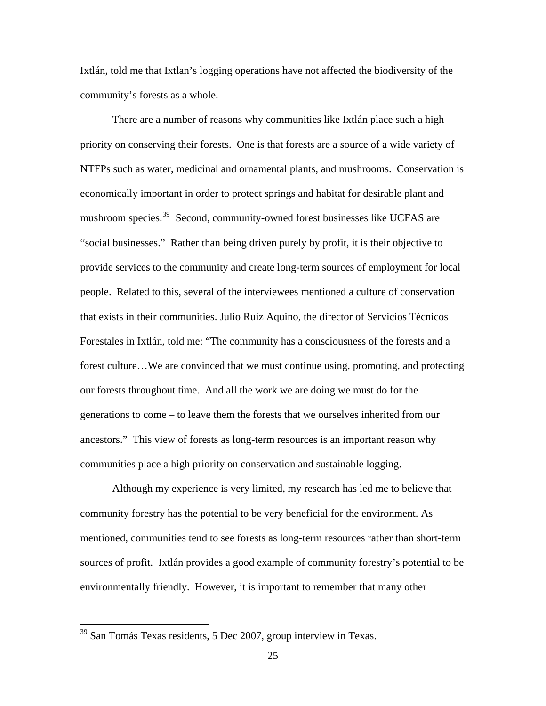Ixtlán, told me that Ixtlan's logging operations have not affected the biodiversity of the community's forests as a whole.

 There are a number of reasons why communities like Ixtlán place such a high priority on conserving their forests. One is that forests are a source of a wide variety of NTFPs such as water, medicinal and ornamental plants, and mushrooms. Conservation is economically important in order to protect springs and habitat for desirable plant and mushroom species.<sup>[39](#page-24-0)</sup> Second, community-owned forest businesses like UCFAS are "social businesses." Rather than being driven purely by profit, it is their objective to provide services to the community and create long-term sources of employment for local people. Related to this, several of the interviewees mentioned a culture of conservation that exists in their communities. Julio Ruiz Aquino, the director of Servicios Técnicos Forestales in Ixtlán, told me: "The community has a consciousness of the forests and a forest culture…We are convinced that we must continue using, promoting, and protecting our forests throughout time. And all the work we are doing we must do for the generations to come – to leave them the forests that we ourselves inherited from our ancestors." This view of forests as long-term resources is an important reason why communities place a high priority on conservation and sustainable logging.

Although my experience is very limited, my research has led me to believe that community forestry has the potential to be very beneficial for the environment. As mentioned, communities tend to see forests as long-term resources rather than short-term sources of profit. Ixtlán provides a good example of community forestry's potential to be environmentally friendly. However, it is important to remember that many other

<span id="page-24-0"></span> $39$  San Tomás Texas residents, 5 Dec 2007, group interview in Texas.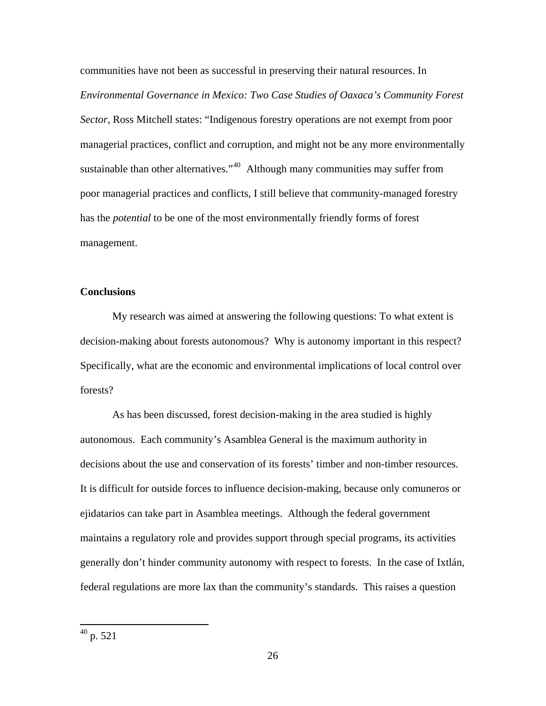communities have not been as successful in preserving their natural resources. In *Environmental Governance in Mexico: Two Case Studies of Oaxaca's Community Forest Sector*, Ross Mitchell states: "Indigenous forestry operations are not exempt from poor managerial practices, conflict and corruption, and might not be any more environmentally sustainable than other alternatives."<sup>[40](#page-25-0)</sup> Although many communities may suffer from poor managerial practices and conflicts, I still believe that community-managed forestry has the *potential* to be one of the most environmentally friendly forms of forest management.

## **Conclusions**

 My research was aimed at answering the following questions: To what extent is decision-making about forests autonomous? Why is autonomy important in this respect? Specifically, what are the economic and environmental implications of local control over forests?

<span id="page-25-0"></span> As has been discussed, forest decision-making in the area studied is highly autonomous. Each community's Asamblea General is the maximum authority in decisions about the use and conservation of its forests' timber and non-timber resources. It is difficult for outside forces to influence decision-making, because only comuneros or ejidatarios can take part in Asamblea meetings. Although the federal government maintains a regulatory role and provides support through special programs, its activities generally don't hinder community autonomy with respect to forests. In the case of Ixtlán, federal regulations are more lax than the community's standards. This raises a question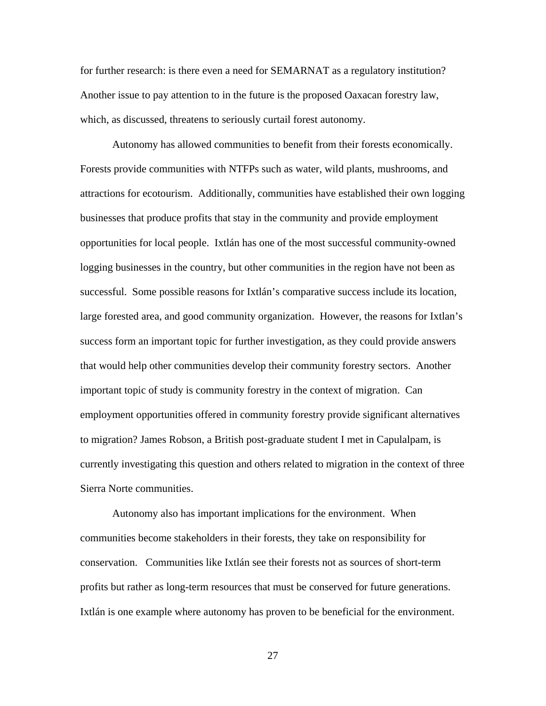for further research: is there even a need for SEMARNAT as a regulatory institution? Another issue to pay attention to in the future is the proposed Oaxacan forestry law, which, as discussed, threatens to seriously curtail forest autonomy.

 Autonomy has allowed communities to benefit from their forests economically. Forests provide communities with NTFPs such as water, wild plants, mushrooms, and attractions for ecotourism. Additionally, communities have established their own logging businesses that produce profits that stay in the community and provide employment opportunities for local people. Ixtlán has one of the most successful community-owned logging businesses in the country, but other communities in the region have not been as successful. Some possible reasons for Ixtlán's comparative success include its location, large forested area, and good community organization. However, the reasons for Ixtlan's success form an important topic for further investigation, as they could provide answers that would help other communities develop their community forestry sectors. Another important topic of study is community forestry in the context of migration. Can employment opportunities offered in community forestry provide significant alternatives to migration? James Robson, a British post-graduate student I met in Capulalpam, is currently investigating this question and others related to migration in the context of three Sierra Norte communities.

 Autonomy also has important implications for the environment. When communities become stakeholders in their forests, they take on responsibility for conservation. Communities like Ixtlán see their forests not as sources of short-term profits but rather as long-term resources that must be conserved for future generations. Ixtlán is one example where autonomy has proven to be beneficial for the environment.

27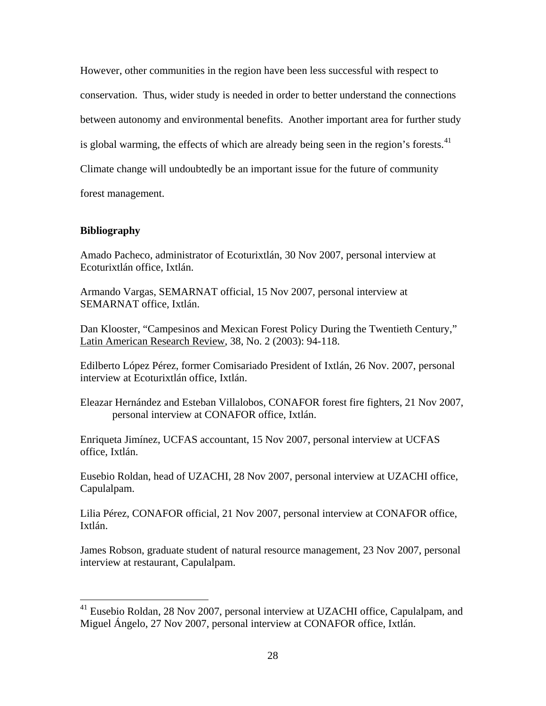However, other communities in the region have been less successful with respect to conservation. Thus, wider study is needed in order to better understand the connections between autonomy and environmental benefits. Another important area for further study is global warming, the effects of which are already being seen in the region's forests.<sup>[41](#page-27-0)</sup> Climate change will undoubtedly be an important issue for the future of community forest management.

# **Bibliography**

 $\overline{a}$ 

Amado Pacheco, administrator of Ecoturixtlán, 30 Nov 2007, personal interview at Ecoturixtlán office, Ixtlán.

Armando Vargas, SEMARNAT official, 15 Nov 2007, personal interview at SEMARNAT office, Ixtlán.

Dan Klooster, "Campesinos and Mexican Forest Policy During the Twentieth Century," Latin American Research Review, 38, No. 2 (2003): 94-118.

Edilberto López Pérez, former Comisariado President of Ixtlán, 26 Nov. 2007, personal interview at Ecoturixtlán office, Ixtlán.

Eleazar Hernández and Esteban Villalobos, CONAFOR forest fire fighters, 21 Nov 2007, personal interview at CONAFOR office, Ixtlán.

Enriqueta Jimínez, UCFAS accountant, 15 Nov 2007, personal interview at UCFAS office, Ixtlán.

Eusebio Roldan, head of UZACHI, 28 Nov 2007, personal interview at UZACHI office, Capulalpam.

Lilia Pérez, CONAFOR official, 21 Nov 2007, personal interview at CONAFOR office, Ixtlán.

James Robson, graduate student of natural resource management, 23 Nov 2007, personal interview at restaurant, Capulalpam.

<span id="page-27-0"></span> $41$  Eusebio Roldan, 28 Nov 2007, personal interview at UZACHI office, Capulalpam, and Miguel Ángelo, 27 Nov 2007, personal interview at CONAFOR office, Ixtlán.